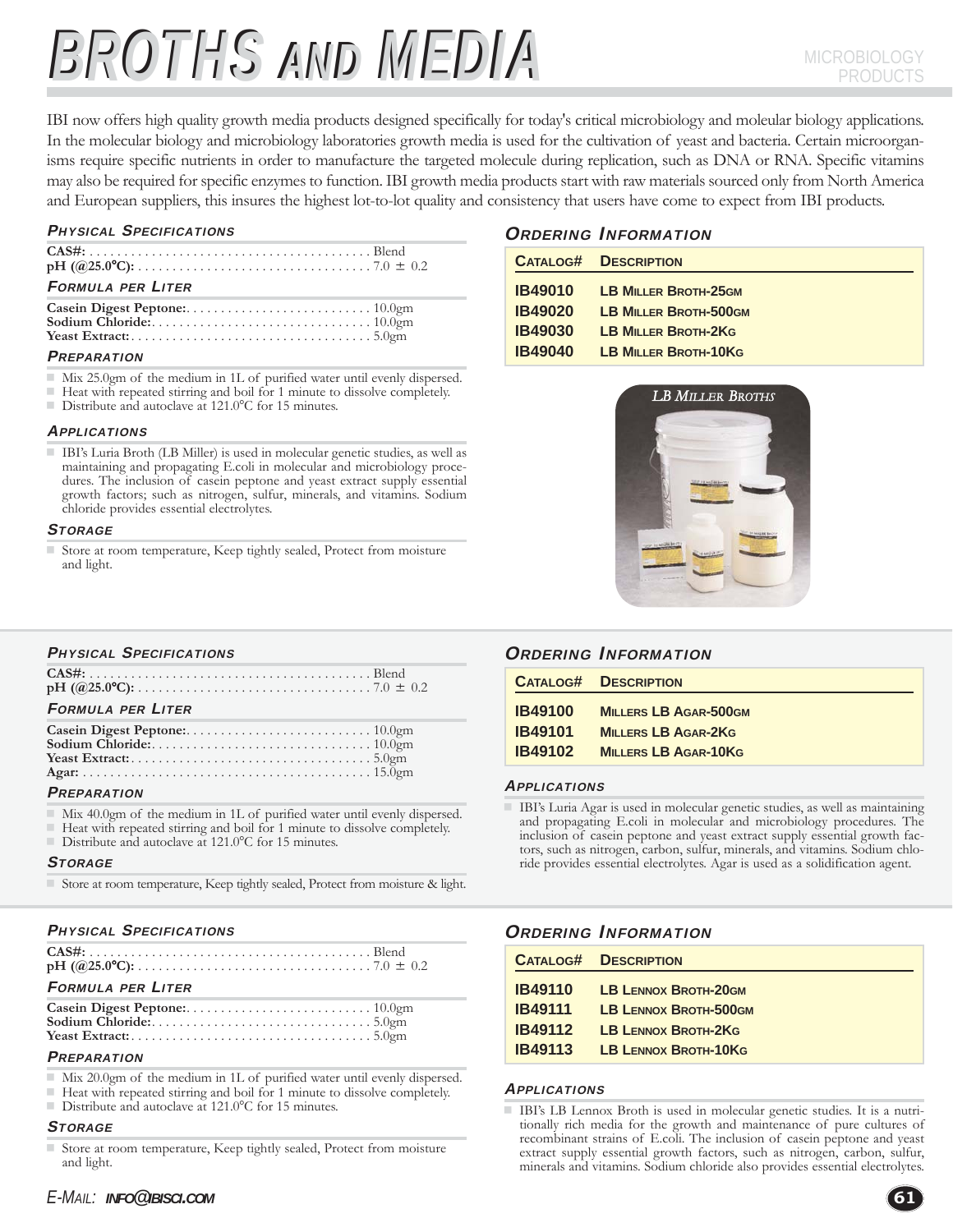# BROTHS AND MEDIA MICROBIOLOGY

IBI now offers high quality growth media products designed specifically for today's critical microbiology and moleular biology applications. In the molecular biology and microbiology laboratories growth media is used for the cultivation of yeast and bacteria. Certain microorganisms require specific nutrients in order to manufacture the targeted molecule during replication, such as DNA or RNA. Specific vitamins may also be required for specific enzymes to function. IBI growth media products start with raw materials sourced only from North America and European suppliers, this insures the highest lot-to-lot quality and consistency that users have come to expect from IBI products.

#### PHYSICAL SPECIFICATIONS

| <b>FORMULA PER LITER</b> |  |
|--------------------------|--|
|                          |  |

#### **PREPARATION**

- Mix 25.0gm of the medium in 1L of purified water until evenly dispersed.
- Heat with repeated stirring and boil for 1 minute to dissolve completely.
- Distribute and autoclave at 121.0°C for 15 minutes.

#### **APPLICATIONS**

 IBI's Luria Broth (LB Miller) is used in molecular genetic studies, as well as maintaining and propagating E.coli in molecular and microbiology procedures. The inclusion of casein peptone and yeast extract supply essential growth factors; such as nitrogen, sulfur, minerals, and vitamins. Sodium chloride provides essential electrolytes.

#### **STORAGE**

 Store at room temperature, Keep tightly sealed, Protect from moisture and light.

#### PHYSICAL SPECIFICATIONS

| <b>FORMULA PER LITER</b> |  |
|--------------------------|--|
|                          |  |

#### **PREPARATION**

- Mix 40.0gm of the medium in 1L of purified water until evenly dispersed.
- Heat with repeated stirring and boil for 1 minute to dissolve completely.
- Distribute and autoclave at  $121.0^{\circ}$ C for 15 minutes.

#### **STORAGE**

Store at room temperature, Keep tightly sealed, Protect from moisture & light.

| <b>PHYSICAL SPECIFICATIONS</b> |
|--------------------------------|
|                                |

| <b>FORMULA PER LITER</b> |  |
|--------------------------|--|

### **PREPARATION**

- Mix 20.0gm of the medium in 1L of purified water until evenly dispersed.
- $\blacksquare$  Heat with repeated stirring and boil for 1 minute to dissolve completely.<br> $\blacksquare$  Distribute and autoclaye at 121.0 °C for 15 minutes
- Distribute and autoclave at 121.0°C for 15 minutes.

### **STORAGE**

Store at room temperature, Keep tightly sealed, Protect from moisture and light.

# ORDERING INFORMATION

| <b>CATALOG#</b> | <b>DESCRIPTION</b>           |
|-----------------|------------------------------|
| <b>IB49010</b>  | <b>LB MILLER BROTH-25GM</b>  |
| <b>IB49020</b>  | <b>LB MILLER BROTH-500GM</b> |
| <b>IB49030</b>  | <b>LB MILLER BROTH-2KG</b>   |
| <b>IB49040</b>  | <b>LB MILLER BROTH-10KG</b>  |



# ORDERING INFORMATION

|                | <b>CATALOG# DESCRIPTION</b>  |
|----------------|------------------------------|
| <b>IB49100</b> | <b>MILLERS LB AGAR-500GM</b> |
| <b>IB49101</b> | <b>MILLERS LB AGAR-2KG</b>   |
| <b>IB49102</b> | <b>MILLERS LB AGAR-10KG</b>  |

#### **APPLICATIONS**

 IBI's Luria Agar is used in molecular genetic studies, as well as maintaining and propagating E.coli in molecular and microbiology procedures. The inclusion of casein peptone and yeast extract supply essential growth factors, such as nitrogen, carbon, sulfur, minerals, and vitamins. Sodium chloride provides essential electrolytes. Agar is used as a solidification agent.

# ORDERING INFORMATION

|                | <b>CATALOG# DESCRIPTION</b> |
|----------------|-----------------------------|
| <b>IB49110</b> | <b>LB LENNOX BROTH-20GM</b> |
| <b>IB49111</b> | LB LENNOX BROTH-500GM       |
| <b>IB49112</b> | <b>LB LENNOX BROTH-2KG</b>  |
| <b>IB49113</b> | <b>LB LENNOX BROTH-10KG</b> |

#### **APPLICATIONS**

 IBI's LB Lennox Broth is used in molecular genetic studies. It is a nutritionally rich media for the growth and maintenance of pure cultures of recombinant strains of E.coli. The inclusion of casein peptone and yeast extract supply essential growth factors, such as nitrogen, carbon, sulfur, minerals and vitamins. Sodium chloride also provides essential electrolytes.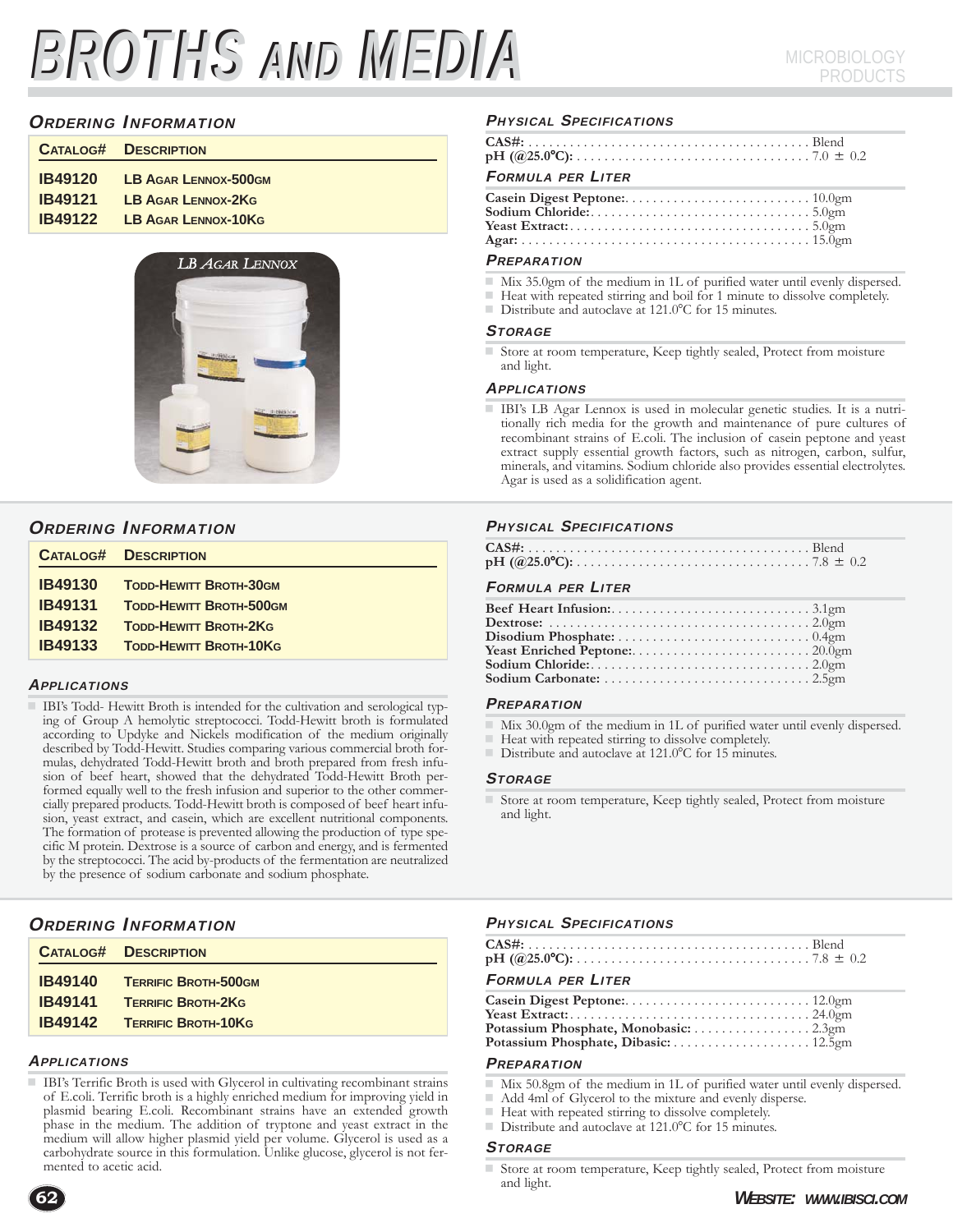# BROTHS AND MEDIA MICROBIOLOGY

# ORDERING INFORMATION

| <b>CATALOG# DESCRIPTION</b>         |
|-------------------------------------|
| <b>IB49120 LB AGAR LENNOX-500GM</b> |
| <b>IB49121 LB AGAR LENNOX-2KG</b>   |
| <b>IB49122 LB AGAR LENNOX-10KG</b>  |
|                                     |



### ORDERING INFORMATION

|                | <b>CATALOG# DESCRIPTION</b>    |
|----------------|--------------------------------|
| <b>IB49130</b> | <b>TODD-HEWITT BROTH-30GM</b>  |
| <b>IB49131</b> | <b>TODD-HEWITT BROTH-500GM</b> |
| <b>IB49132</b> | <b>TODD-HEWITT BROTH-2KG</b>   |
| <b>IB49133</b> | <b>TODD-HEWITT BROTH-10KG</b>  |
|                |                                |

#### APPLICATIONS

 IBI's Todd- Hewitt Broth is intended for the cultivation and serological typing of Group A hemolytic streptococci. Todd-Hewitt broth is formulated according to Updyke and Nickels modification of the medium originally described by Todd-Hewitt. Studies comparing various commercial broth formulas, dehydrated Todd-Hewitt broth and broth prepared from fresh infusion of beef heart, showed that the dehydrated Todd-Hewitt Broth performed equally well to the fresh infusion and superior to the other commercially prepared products. Todd-Hewitt broth is composed of beef heart infusion, yeast extract, and casein, which are excellent nutritional components. The formation of protease is prevented allowing the production of type specific M protein. Dextrose is a source of carbon and energy, and is fermented by the streptococci. The acid by-products of the fermentation are neutralized by the presence of sodium carbonate and sodium phosphate.

# ORDERING INFORMATION

|                | <b>CATALOG# DESCRIPTION</b> |
|----------------|-----------------------------|
| <b>IB49140</b> | <b>TERRIFIC BROTH-500GM</b> |
| <b>IB49141</b> | <b>TERRIFIC BROTH-2KG</b>   |
| <b>IB49142</b> | <b>TERRIFIC BROTH-10KG</b>  |

#### **APPLICATIONS**

 IBI's Terrific Broth is used with Glycerol in cultivating recombinant strains of E.coli. Terrific broth is a highly enriched medium for improving yield in plasmid bearing E.coli. Recombinant strains have an extended growth phase in the medium. The addition of tryptone and yeast extract in the medium will allow higher plasmid yield per volume. Glycerol is used as a carbohydrate source in this formulation. Unlike glucose, glycerol is not fermented to acetic acid.

#### PHYSICAL SPECIFICATIONS

# FORMULA PER LITER

#### **PREPARATION**

- Mix 35.0gm of the medium in 1L of purified water until evenly dispersed.
- Heat with repeated stirring and boil for 1 minute to dissolve completely.
- Distribute and autoclave at 121.0°C for 15 minutes.

#### **STORAGE**

 Store at room temperature, Keep tightly sealed, Protect from moisture and light.

#### **APPLICATIONS**

 IBI's LB Agar Lennox is used in molecular genetic studies. It is a nutritionally rich media for the growth and maintenance of pure cultures of recombinant strains of E.coli. The inclusion of casein peptone and yeast extract supply essential growth factors, such as nitrogen, carbon, sulfur, minerals, and vitamins. Sodium chloride also provides essential electrolytes. Agar is used as a solidification agent.

#### PHYSICAL SPECIFICATIONS

#### FORMULA PER LITER

#### **PREPARATION**

- Mix 30.0gm of the medium in 1L of purified water until evenly dispersed.
- Heat with repeated stirring to dissolve completely.
- $\Box$  Distribute and autoclave at 121.0°C for 15 minutes.

#### **STORAGE**

 Store at room temperature, Keep tightly sealed, Protect from moisture and light.

#### PHYSICAL SPECIFICATIONS

#### FORMULA PER LITER

| Yeast Extract: $\dots \dots \dots \dots \dots \dots \dots \dots \dots \dots \dots \dots 24.0$ gm |  |
|--------------------------------------------------------------------------------------------------|--|
| Potassium Phosphate, Monobasic: 2.3gm                                                            |  |
|                                                                                                  |  |

#### **PREPARATION**

- Mix 50.8gm of the medium in 1L of purified water until evenly dispersed.<br>Add 4ml of Glycerol to the mixture and evenly disperse
- Add 4ml of Glycerol to the mixture and evenly disperse.
- $\blacksquare$  Heat with repeated stirring to dissolve completely.<br>  $\blacksquare$  Distribute and autoclave at 121.0°C for 15 minutes
- Distribute and autoclave at 121.0°C for 15 minutes.

#### **STORAGE**

 Store at room temperature, Keep tightly sealed, Protect from moisture and light.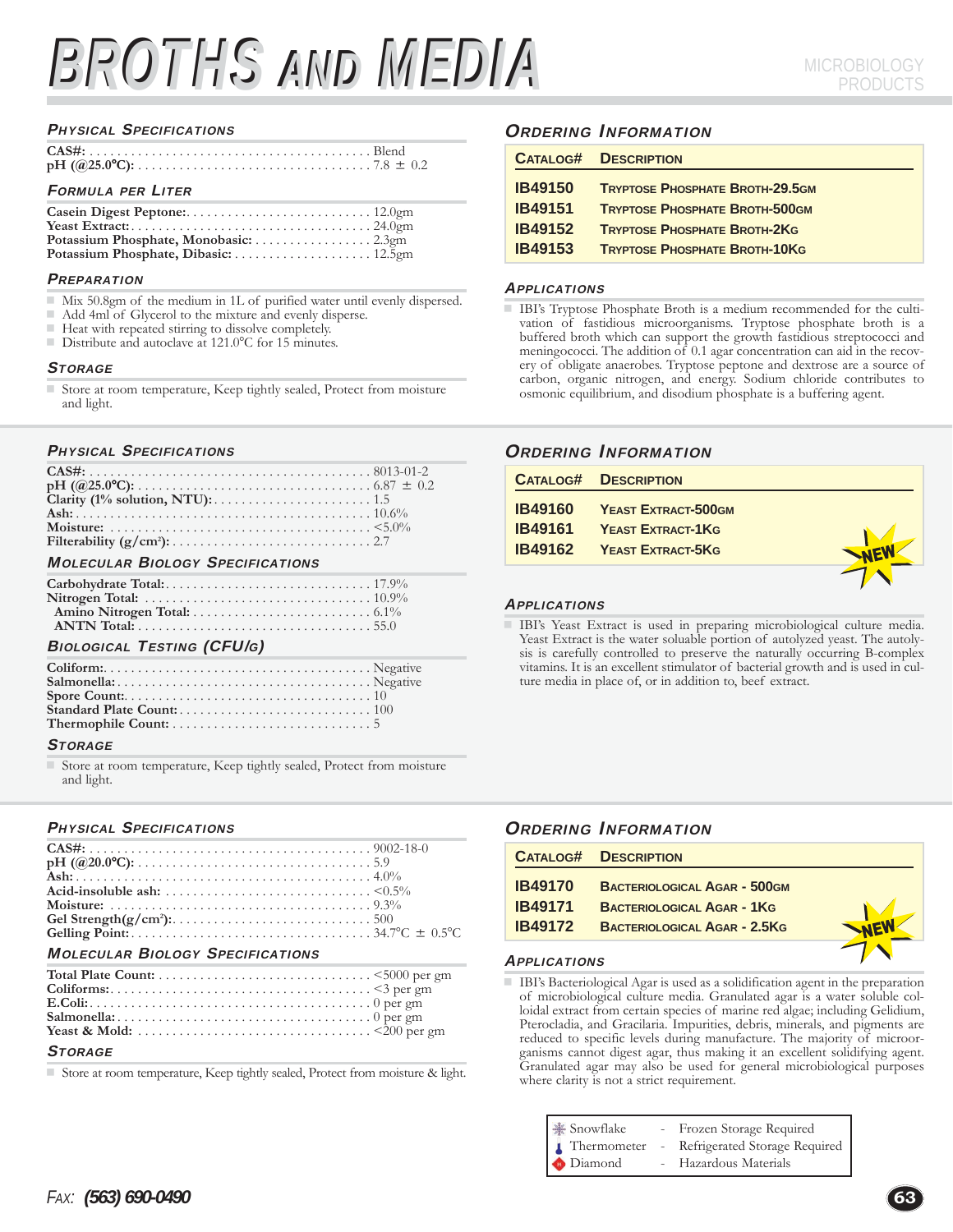# BROTHS AND MEDIA MICROBIOLOGY

#### PHYSICAL SPECIFICATIONS

| <b>FORMULA PER LITER</b> |  |
|--------------------------|--|

| Potassium Phosphate, Monobasic: 2.3gm |  |
|---------------------------------------|--|
|                                       |  |

#### **PREPARATION**

- Mix 50.8gm of the medium in 1L of purified water until evenly dispersed.
- Add 4ml of Glycerol to the mixture and evenly disperse.<br>
Heat with repeated stirring to dissolve completely.
- $\blacksquare$  Heat with repeated stirring to dissolve completely.<br>Distribute and autoclave at 121.0 °C for 15 minutes
- Distribute and autoclave at 121.0°C for 15 minutes.

#### **STORAGE**

Store at room temperature, Keep tightly sealed, Protect from moisture and light.

#### PHYSICAL SPECIFICATIONS

| <b>MOLECULAR BIOLOGY SPECIFICATIONS</b> |  |  |  |  |  |  |  |
|-----------------------------------------|--|--|--|--|--|--|--|

| <b>BIOLOGICAL TESTING (CFU/G)</b>                             |  |  |  |  |  |  |  |
|---------------------------------------------------------------|--|--|--|--|--|--|--|
| the contract of the property of the contract of<br>$\sim$ 1.0 |  |  |  |  |  |  |  |

#### **STORAGE**

 Store at room temperature, Keep tightly sealed, Protect from moisture and light.

#### PHYSICAL SPECIFICATIONS

| Acid-insoluble ash: $\ldots$ , $\ldots$ , $\ldots$ , $\ldots$ , $\ldots$ , $\ldots$ , $\ldots$ , $\leq 0.5\%$                                                                                                                                                                                                                      |  |
|------------------------------------------------------------------------------------------------------------------------------------------------------------------------------------------------------------------------------------------------------------------------------------------------------------------------------------|--|
|                                                                                                                                                                                                                                                                                                                                    |  |
|                                                                                                                                                                                                                                                                                                                                    |  |
|                                                                                                                                                                                                                                                                                                                                    |  |
| $\overline{a}$ and $\overline{a}$ and $\overline{a}$ and $\overline{a}$ and $\overline{a}$ and $\overline{a}$ and $\overline{a}$ and $\overline{a}$ and $\overline{a}$ and $\overline{a}$ and $\overline{a}$ and $\overline{a}$ and $\overline{a}$ and $\overline{a}$ and $\overline{a}$ and $\overline{a}$ and $\overline{a}$ and |  |

#### MOLECULAR BIOLOGY SPECIFICATIONS

#### **STORAGE**

Store at room temperature, Keep tightly sealed, Protect from moisture & light.

# ORDERING INFORMATION

| <b>DESCRIPTION</b>                     |
|----------------------------------------|
| <b>TRYPTOSE PHOSPHATE BROTH-29.5GM</b> |
| <b>TRYPTOSE PHOSPHATE BROTH-500GM</b>  |
| <b>TRYPTOSE PHOSPHATE BROTH-2KG</b>    |
| <b>TRYPTOSE PHOSPHATE BROTH-10KG</b>   |
|                                        |

#### **APPLICATIONS**

 IBI's Tryptose Phosphate Broth is a medium recommended for the cultivation of fastidious microorganisms. Tryptose phosphate broth is a buffered broth which can support the growth fastidious streptococci and meningococci. The addition of 0.1 agar concentration can aid in the recovery of obligate anaerobes. Tryptose peptone and dextrose are a source of carbon, organic nitrogen, and energy. Sodium chloride contributes to osmonic equilibrium, and disodium phosphate is a buffering agent.

# ORDERING INFORMATION

|                | <b>CATALOG# DESCRIPTION</b>        |  |
|----------------|------------------------------------|--|
|                | <b>IB49160 YEAST EXTRACT-500GM</b> |  |
| <b>IB49161</b> | <b>YEAST EXTRACT-1KG</b>           |  |
|                | <b>IB49162 YEAST EXTRACT-5KG</b>   |  |
|                |                                    |  |

#### APPLICATIONS

 IBI's Yeast Extract is used in preparing microbiological culture media. Yeast Extract is the water soluable portion of autolyzed yeast. The autolysis is carefully controlled to preserve the naturally occurring B-complex vitamins. It is an excellent stimulator of bacterial growth and is used in culture media in place of, or in addition to, beef extract.

# **ORDERING INFORMATION**

| <b>CATALOG#</b> | <b>DESCRIPTION</b>                  |  |
|-----------------|-------------------------------------|--|
| <b>IB49170</b>  | <b>BACTERIOLOGICAL AGAR - 500GM</b> |  |
| IB49171         | <b>BACTERIOLOGICAL AGAR - 1KG</b>   |  |
| IB49172         | <b>BACTERIOLOGICAL AGAR - 2.5KG</b> |  |
|                 |                                     |  |

#### APPLICATIONS

 IBI's Bacteriological Agar is used as a solidification agent in the preparation of microbiological culture media. Granulated agar is a water soluble colloidal extract from certain species of marine red algae; including Gelidium, Pterocladia, and Gracilaria. Impurities, debris, minerals, and pigments are reduced to specific levels during manufacture. The majority of microorganisms cannot digest agar, thus making it an excellent solidifying agent. Granulated agar may also be used for general microbiological purposes where clarity is not a strict requirement.

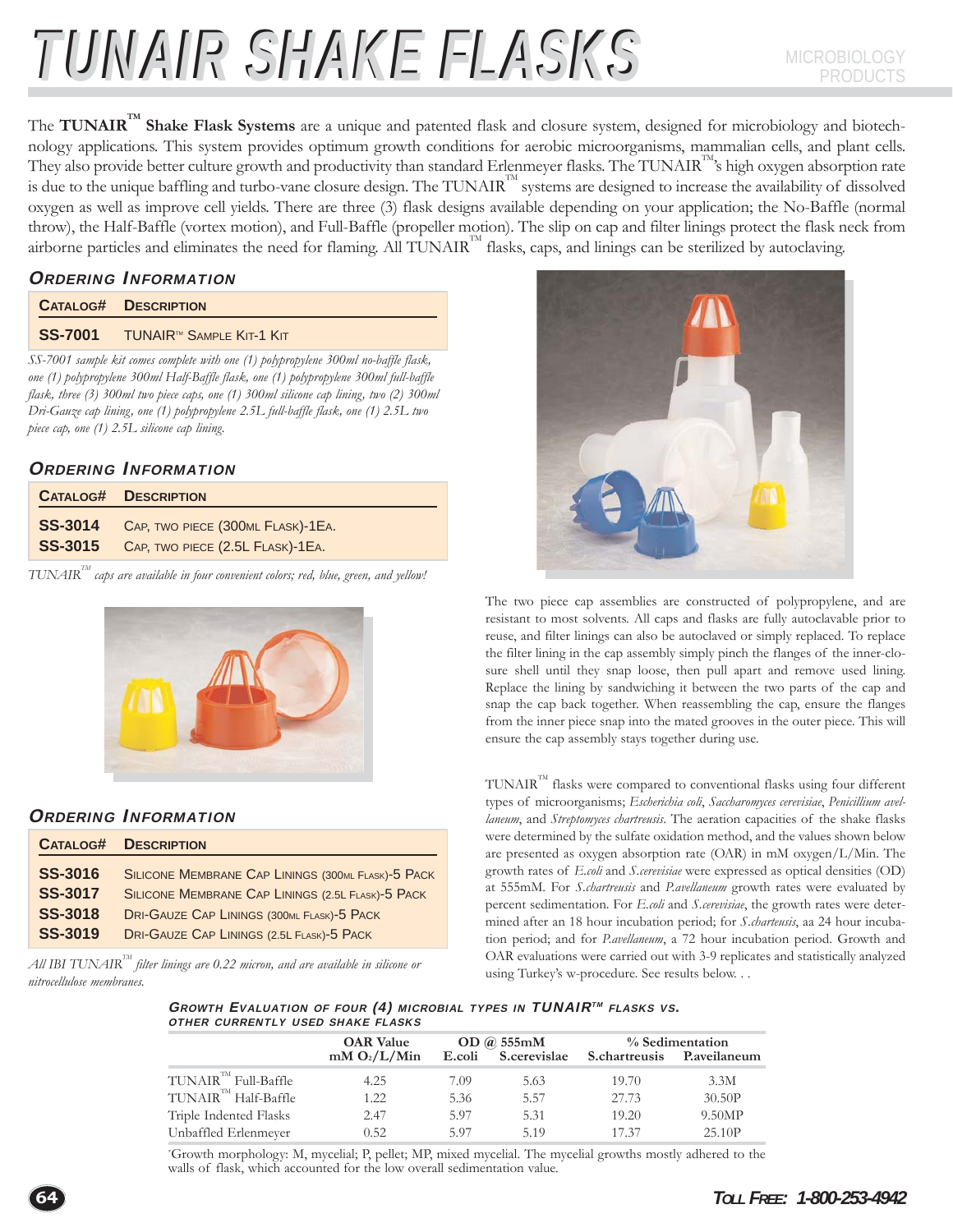# TUNAIR SHAKE FLASKS

The **TUNAIR<sup>™</sup> Shake Flask Systems** are a unique and patented flask and closure system, designed for microbiology and biotechnology applications. This system provides optimum growth conditions for aerobic microorganisms, mammalian cells, and plant cells. They also provide better culture growth and productivity than standard Erlenmeyer flasks. The TUNAIR<sup>188</sup>'s high oxygen absorption rate is due to the unique baffling and turbo-vane closure design. The TUNAIR<sup>TM</sup> systems are designed to increase the availability of dissolved oxygen as well as improve cell yields. There are three (3) flask designs available depending on your application; the No-Baffle (normal throw), the Half-Baffle (vortex motion), and Full-Baffle (propeller motion). The slip on cap and filter linings protect the flask neck from airborne particles and eliminates the need for flaming. All  $TUNAIR<sup>TM</sup>$  flasks, caps, and linings can be sterilized by autoclaving.

# ORDERING INFORMATION

|                                                                      | <b>CATALOG# DESCRIPTION</b>                  |  |  |  |  |
|----------------------------------------------------------------------|----------------------------------------------|--|--|--|--|
|                                                                      | SS-7001 TUNAIR <sup>™</sup> SAMPLE KIT-1 KIT |  |  |  |  |
| $CC = 0.04$ $1.11$ $1.11$ $1.11$ $1.11$ $1.11$ $1.100$ $1.100$ $1.1$ |                                              |  |  |  |  |

*SS-7001 sample kit comes complete with one (1) polypropylene 300ml no-baffle flask, one (1) polypropylene 300ml Half-Baffle flask, one (1) polypropylene 300ml full-baffle flask, three (3) 300ml two piece caps, one (1) 300ml silicone cap lining, two (2) 300ml Dri-Gauze cap lining, one (1) polypropylene 2.5L full-baffle flask, one (1) 2.5L two piece cap, one (1) 2.5L silicone cap lining.*

# ORDERING INFORMATION

| <b>CATALOG# DESCRIPTION</b>                                                           |
|---------------------------------------------------------------------------------------|
| SS-3014 CAP, TWO PIECE (300ML FLASK)-1EA.<br>SS-3015 CAP, TWO PIECE (2.5L FLASK)-1EA. |

*TUNAIRTM caps are available in four convenient colors; red, blue, green, and yellow!*



# ORDERING INFORMATION

| <b>CATALOG#</b>                  | <b>DESCRIPTION</b>                                                                                      |
|----------------------------------|---------------------------------------------------------------------------------------------------------|
| <b>SS-3016</b><br><b>SS-3017</b> | SILICONE MEMBRANE CAP LININGS (300ML FLASK)-5 PACK<br>SILICONE MEMBRANE CAP LININGS (2.5L FLASK)-5 PACK |
| <b>SS-3018</b>                   | <b>DRI-GAUZE CAP LININGS (300ML FLASK)-5 PACK</b>                                                       |
| <b>SS-3019</b>                   | <b>DRI-GAUZE CAP LININGS (2.5L FLASK)-5 PACK</b>                                                        |

 $A\!$ ll IBI TUNAIR $^{\text{\tiny{\text{TM}}}}$  filter linings are 0.22 micron, and are available in silicone or *nitrocellulose membranes.*



The two piece cap assemblies are constructed of polypropylene, and are resistant to most solvents. All caps and flasks are fully autoclavable prior to reuse, and filter linings can also be autoclaved or simply replaced. To replace the filter lining in the cap assembly simply pinch the flanges of the inner-closure shell until they snap loose, then pull apart and remove used lining. Replace the lining by sandwiching it between the two parts of the cap and snap the cap back together. When reassembling the cap, ensure the flanges from the inner piece snap into the mated grooves in the outer piece. This will ensure the cap assembly stays together during use.

TUNAIRTM flasks were compared to conventional flasks using four different types of microorganisms; *Escherichia coli*, *Saccharomyces cerevisiae*, *Penicillium avellaneum*, and *Streptomyces chartreusis*. The aeration capacities of the shake flasks were determined by the sulfate oxidation method, and the values shown below are presented as oxygen absorption rate (OAR) in mM oxygen/L/Min. The growth rates of *E.coli* and *S.cerevisiae* were expressed as optical densities (OD) at 555mM. For *S.chartreusis* and *P.avellaneum* growth rates were evaluated by percent sedimentation. For *E.coli* and *S.cerevisiae*, the growth rates were determined after an 18 hour incubation period; for *S.charteusis*, aa 24 hour incubation period; and for *P.avellaneum*, a 72 hour incubation period. Growth and OAR evaluations were carried out with 3-9 replicates and statistically analyzed using Turkey's w-procedure. See results below. . .

GROWTH EVALUATION OF FOUR  $(4)$  MICROBIAL TYPES IN TUNAIR<sup>TM</sup> FLASKS VS. OTHER CURRENTLY USED SHAKE FLASKS

|                                    | <b>OAR</b> Value         | OD @ 555mM |                     | % Sedimentation      |              |  |
|------------------------------------|--------------------------|------------|---------------------|----------------------|--------------|--|
|                                    | mM O <sub>2</sub> /L/Min |            | E.coli S.cerevislae | <b>S.chartreusis</b> | P.aveilaneum |  |
| $TUNAIR^{\mathbb{T}M}$ Full-Baffle | 4.25                     | 7.09       | 5.63                | 19.70                | 3.3M         |  |
| TUNAIR <sup>™</sup> Half-Baffle    | 1.22                     | 5.36       | 5.57                | 27.73                | 30.50P       |  |
| Triple Indented Flasks             | 2.47                     | 5.97       | 5.31                | 19.20                | 9.50MP       |  |
| Unbaffled Erlenmeyer               | 0.52                     | 5.97       | 5.19                | 17.37                | 25.10P       |  |

\* Growth morphology: M, mycelial; P, pellet; MP, mixed mycelial. The mycelial growths mostly adhered to the walls of flask, which accounted for the low overall sedimentation value.